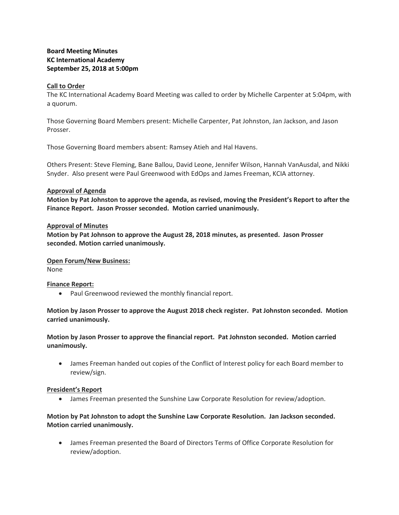# **Board Meeting Minutes KC International Academy September 25, 2018 at 5:00pm**

#### **Call to Order**

The KC International Academy Board Meeting was called to order by Michelle Carpenter at 5:04pm, with a quorum.

Those Governing Board Members present: Michelle Carpenter, Pat Johnston, Jan Jackson, and Jason Prosser.

Those Governing Board members absent: Ramsey Atieh and Hal Havens.

Others Present: Steve Fleming, Bane Ballou, David Leone, Jennifer Wilson, Hannah VanAusdal, and Nikki Snyder. Also present were Paul Greenwood with EdOps and James Freeman, KCIA attorney.

#### **Approval of Agenda**

**Motion by Pat Johnston to approve the agenda, as revised, moving the President's Report to after the Finance Report. Jason Prosser seconded. Motion carried unanimously.**

## **Approval of Minutes**

**Motion by Pat Johnson to approve the August 28, 2018 minutes, as presented. Jason Prosser seconded. Motion carried unanimously.**

#### **Open Forum/New Business:**

None

## **Finance Report:**

• Paul Greenwood reviewed the monthly financial report.

# **Motion by Jason Prosser to approve the August 2018 check register. Pat Johnston seconded. Motion carried unanimously.**

**Motion by Jason Prosser to approve the financial report. Pat Johnston seconded. Motion carried unanimously.** 

 James Freeman handed out copies of the Conflict of Interest policy for each Board member to review/sign.

## **President's Report**

James Freeman presented the Sunshine Law Corporate Resolution for review/adoption.

# **Motion by Pat Johnston to adopt the Sunshine Law Corporate Resolution. Jan Jackson seconded. Motion carried unanimously.**

 James Freeman presented the Board of Directors Terms of Office Corporate Resolution for review/adoption.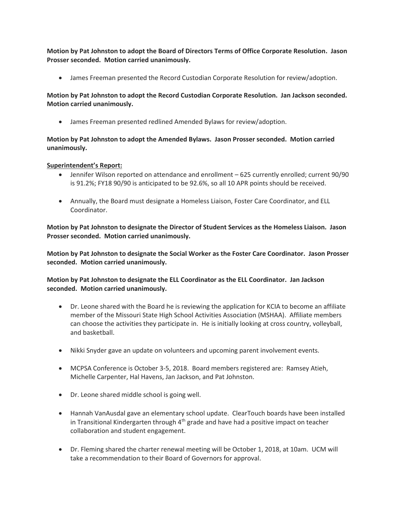**Motion by Pat Johnston to adopt the Board of Directors Terms of Office Corporate Resolution. Jason Prosser seconded. Motion carried unanimously.**

James Freeman presented the Record Custodian Corporate Resolution for review/adoption.

**Motion by Pat Johnston to adopt the Record Custodian Corporate Resolution. Jan Jackson seconded. Motion carried unanimously.**

James Freeman presented redlined Amended Bylaws for review/adoption.

**Motion by Pat Johnston to adopt the Amended Bylaws. Jason Prosser seconded. Motion carried unanimously.**

## **Superintendent's Report:**

- Jennifer Wilson reported on attendance and enrollment 625 currently enrolled; current 90/90 is 91.2%; FY18 90/90 is anticipated to be 92.6%, so all 10 APR points should be received.
- Annually, the Board must designate a Homeless Liaison, Foster Care Coordinator, and ELL Coordinator.

**Motion by Pat Johnston to designate the Director of Student Services as the Homeless Liaison. Jason Prosser seconded. Motion carried unanimously.**

**Motion by Pat Johnston to designate the Social Worker as the Foster Care Coordinator. Jason Prosser seconded. Motion carried unanimously.**

**Motion by Pat Johnston to designate the ELL Coordinator as the ELL Coordinator. Jan Jackson seconded. Motion carried unanimously.**

- Dr. Leone shared with the Board he is reviewing the application for KCIA to become an affiliate member of the Missouri State High School Activities Association (MSHAA). Affiliate members can choose the activities they participate in. He is initially looking at cross country, volleyball, and basketball.
- Nikki Snyder gave an update on volunteers and upcoming parent involvement events.
- MCPSA Conference is October 3-5, 2018. Board members registered are: Ramsey Atieh, Michelle Carpenter, Hal Havens, Jan Jackson, and Pat Johnston.
- Dr. Leone shared middle school is going well.
- Hannah VanAusdal gave an elementary school update. ClearTouch boards have been installed in Transitional Kindergarten through  $4<sup>th</sup>$  grade and have had a positive impact on teacher collaboration and student engagement.
- Dr. Fleming shared the charter renewal meeting will be October 1, 2018, at 10am. UCM will take a recommendation to their Board of Governors for approval.